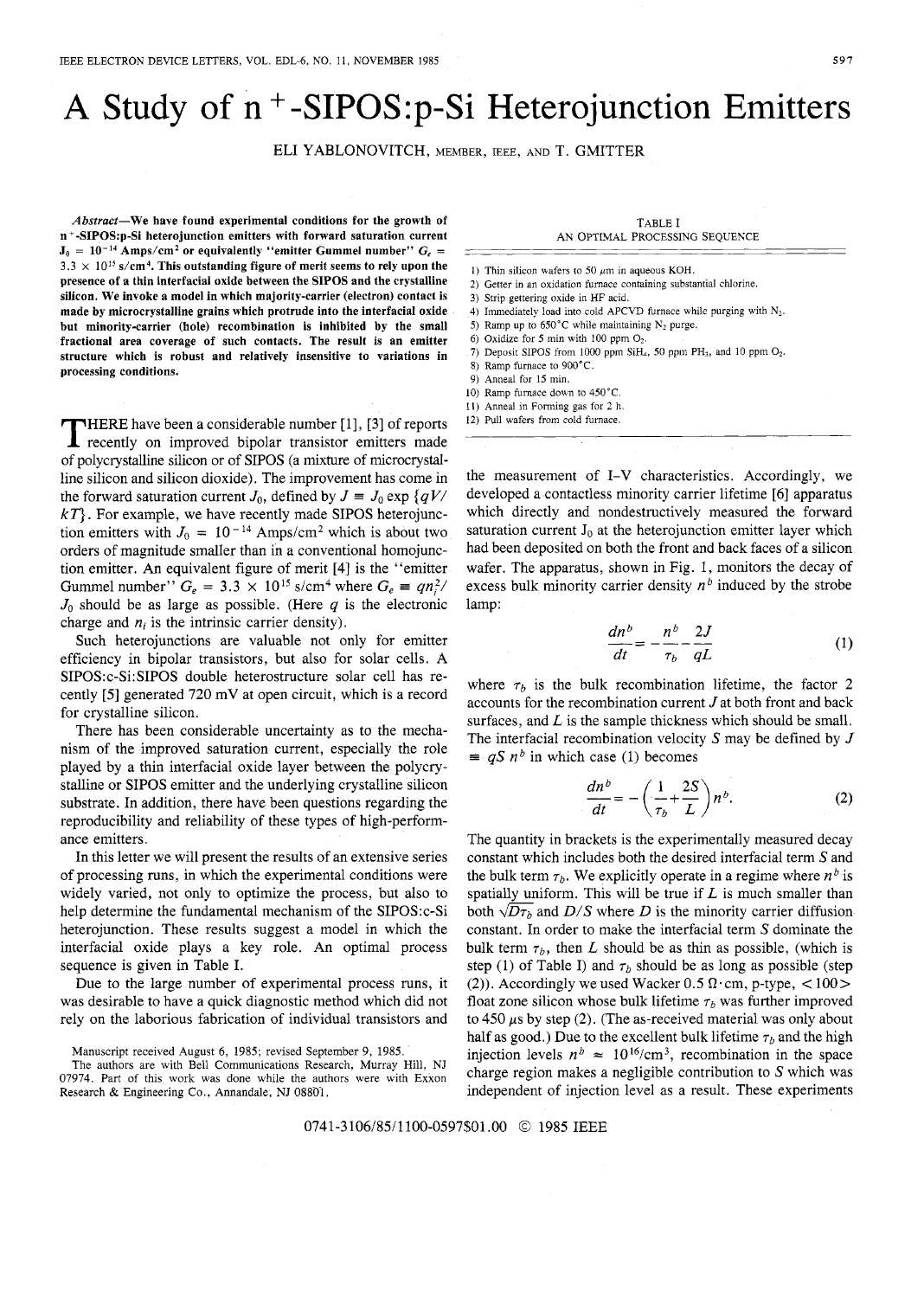## **A** Study of n **+-SIP0S:p-Si** Heterojunction Emitters

ELI YABLONOVITCH, MEMBER, IEEE, AND T. GMITTER

**Abstract-We have found experimental conditions for the growth of n +-SIP0S:p-Si heterojunction emitters with forward saturation current**   $J_0 = 10^{-14}$  Amps/cm<sup>2</sup> or equivalently "emitter Gummel number"  $G_e =$  $3.3 \times 10^{15}$  s/cm<sup>4</sup>. This outstanding figure of merit seems to rely upon the **presence of a thin interfacial oxide between the SIPOS and the crystalline silicon. We invoke a model in which majority-carrier (electron) contact is made by microcrystalline grains which protrude into the interfacial oxide but minority-carrier (hole) recombination is inhibited by the small fractional area coverage of such contacts. The result is an emitter structure which is robust and relatively insensitive to variations in processing conditions.** 

THERE have been a considerable number [1], [3] of reports recently on improved bipolar transistor emitters made of polycrystalline silicon or of SIPOS (a mixture of microcrystalline silicon and silicon dioxide). The improvement has come in the forward saturation current  $J_0$ , defined by  $J \equiv J_0 \exp \{qV/2\}$ *kT)* . For example, we have recently made SIPOS heterojunction emitters with  $J_0 = 10^{-14}$  Amps/cm<sup>2</sup> which is about two orders of magnitude smaller than in a conventional homojunction emitter. An equivalent figure of merit [4] is the "emitter Gummel number"  $G_e = 3.3 \times 10^{15} \text{ s/cm}^4$  where  $G_e \equiv qn_i^2/$ *Jo* should be as large as possible. (Here *q* is the electronic charge and  $n_i$  is the intrinsic carrier density).

Such heterojunctions are valuable not only for emitter efficiency in bipolar transistors, but also for solar cells. A SIP0S:c-Si:SIPOS double heterostructure solar cell has recently *[5]* generated *720* mV at open circuit, which is a record for crystalline silicon.

There has been considerable uncertainty as to the mechanism of the improved saturation current, especially the role played by a thin interfacial oxide layer between the polycrystalline or SIPOS emitter and the underlying crystalline silicon substrate. In addition, there have been questions regarding the reproducibility and reliability of these types of high-performance emitters.

In this letter we will present the results of an extensive series of processing runs, in which the experimental conditions were widely varied, not only to optimize the process, but also to help determine the fundamental mechanism of the SIP0S:c-Si heterojunction. These results suggest a model in which the interfacial oxide plays a key role. An optimal process sequence is given in Table I.

Due to the large number of experimental process runs, it was desirable to have a quick diagnostic method which did not rely on the laborious fabrication of individual transistors and

Manuscript received August *6,* 1985; revised September 9, 1985.

The authors are with Bell Communications Research, Murray Hill, **NJ**  07974. Part of this work was done while the authors were with Exxon Research & Engineering Co., Annandale, NJ 08801.

TABLE I AN OPTIMAL PROCESSING SEQUENCE

1) Thin silicon wafers to 50  $\mu$ m in aqueous KOH.

- **2)** Getter in an oxidation furnace containing substantial chlorine.
- 3) Strip gettering oxide in HF acid.
- 4) Immediately load into cold APCVD furnace while purging with  $N_2$ .
- 5) Ramp up to  $650^{\circ}$ C while maintaining  $N_2$  purge.
- 6) Oxidize for 5 min with 100 ppm *02.*
- 7) Deposit SIPOS from 1000 ppm SiH<sub>4</sub>, 50 ppm PH<sub>3</sub>, and 10 ppm  $O_2$ .
- 8) Ramp furnace to 900°C.
- 9) Anneal for 15 min.
- 10) Ramp furnace down to 450'C.
- 11) Anneal in Forming gas for 2 h.
- 12) Pull wafers from cold furnace.

the measurement of I-V characteristics. Accordingly, we developed a contactless minority carrier lifetime [6] apparatus which directly and nondestructively measured the forward saturation current  $J_0$  at the heterojunction emitter layer which had been deposited on both the front and back faces of a silicon wafer. The apparatus, shown in Fig. 1, monitors the decay of excess bulk minority carrier density  $n<sup>b</sup>$  induced by the strobe lamp:

$$
\frac{dn^b}{dt} = -\frac{n^b}{\tau_b} - \frac{2J}{qL} \tag{1}
$$

where  $\tau_b$  is the bulk recombination lifetime, the factor 2 accounts for the recombination current *J* at both front and back surfaces, and *L* is the sample thickness which should be small. The interfacial recombination velocity *S* may be defined by *J*   $\equiv qS n^b$  in which case (1) becomes

$$
\frac{dn^b}{dt} = -\left(\frac{1}{\tau_b} + \frac{2S}{L}\right) n^b.
$$
 (2)

The quantity in brackets is the experimentally measured decay constant which includes both the desired interfacial term *S* and the bulk term  $\tau_b$ . We explicitly operate in a regime where  $n^b$  is spatially uniform. This will be true if *L* is much smaller than the bulk term  $\tau_b$ . We explicitly operate in a regime where  $n^b$  is spatially uniform. This will be true if L is much smaller than both  $\sqrt{D\tau_b}$  and  $D/S$  where D is the minority carrier diffusion constant. In order to constant. In order to make the interfacial term *S* dominate the bulk term  $\tau_h$ , then *L* should be as thin as possible, (which is step (1) of Table I) and  $\tau_b$  should be as long as possible (step (2)). Accordingly we used Wacker 0.5  $\Omega$ ·cm, p-type, < 100 > float zone silicon whose bulk lifetime  $\tau_h$  was further improved to  $450 \mu s$  by step  $(2)$ . (The as-received material was only about half as good.) Due to the excellent bulk lifetime  $\tau_b$  and the high injection levels  $n^b \approx 10^{16}$ /cm<sup>3</sup>, recombination in the space charge region makes a negligible contribution to  $S$  which was independent of injection level as a result. These experiments

0741-3106/85/1100-0597\$01.00 *0* 1985 IEEE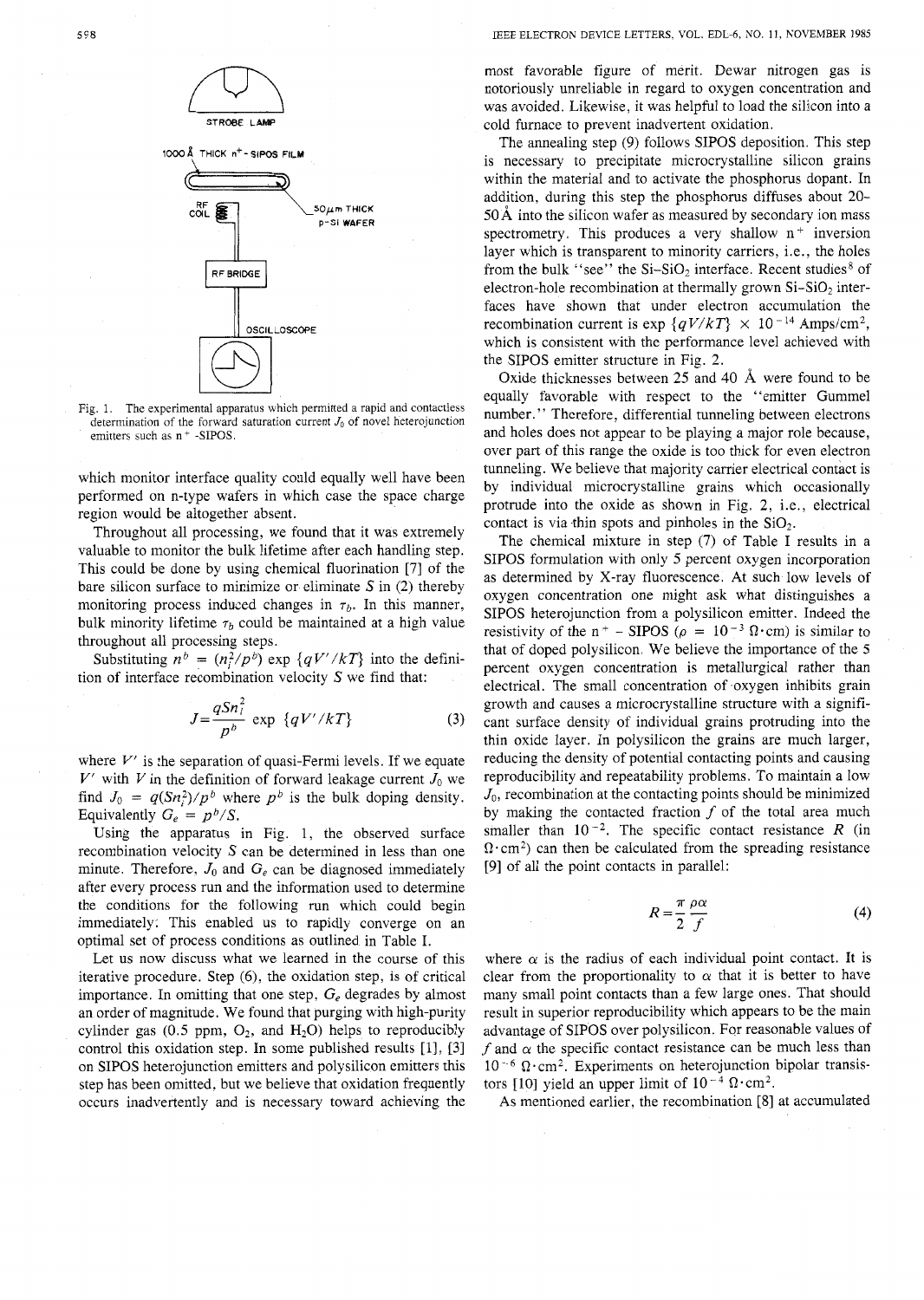



<sup>11</sup>**OSCILLOSCOPE** 

which monitor interface quality could equally well have been performed on n-type wafers in which case the space charge region would be altogether absent.

Throughout all processing, we found that it was extremely valuable to monitor the bulk lifetime after each handling step. This could be done by using chemical fluorination [7] of the bare silicon surface to minimize or eliminate *S* in (2) thereby monitoring process induced changes in  $\tau_b$ . In this manner, bulk minority lifetime  $\tau_b$  could be maintained at a high value throughout all processing steps.

Substituting  $n^b = (n_i^2/p^b) \exp \{qV'/kT\}$  into the definition of interface recombination velocity *S* we find that:

$$
J = \frac{qSn_i^2}{p^b} \exp \{qV'/kT\} \tag{3}
$$

where  $V'$  is the separation of quasi-Fermi levels. If we equate *V'* with *V* in the definition of forward leakage current  $J_0$  we find  $J_0 = q(Sn_i^2)/p^b$  where  $p^b$  is the bulk doping density. Equivalently  $G_e = p^b/S$ .

Using the apparatus in Fig. 1, the observed surface recombination velocity *S* can be determined in less than one minute. Therefore,  $J_0$  and  $G_e$  can be diagnosed immediately after every process run and the information used to determine the conditions for the following run which could begin immediately: This enabled us to rapidly converge on an optimal set of process conditions as outlined in Table I.

Let us now discuss what we learned in the course of this iterative procedure. Step *(6),* the oxidation step, is of critical importance. In omitting that one step,  $G_e$  degrades by almost an order of magnitude. We found that purging with high-purity cylinder gas  $(0.5 \text{ ppm}, 0_2, \text{ and } H_2O)$  helps to reproducibly control this oxidation step. In some published results  $[1]$ ,  $[3]$ on SIPOS heterojunction emitters and polysilicon emitters this siep has been omitted, but we believe that oxidation frequently occurs inadvertently and is necessary toward achieving the

*598* IEEE ELECTRON DEVICE LETTERS, VOL. EDL-6, NO. 11, NOVEMBER 1985

most favorable figure of merit. Dewar nitrogen gas is notoriously unreliable in regard to oxygen concentration and was avoided. Likewise, it was helpful to load the silicon into a cold furnace to prevent inadvertent oxidation.

The annealing step (9) follows SIPOS deposition. This step is necessary to precipitate microcrystalline silicon grains within the material and to activate the phosphorus dopant. In addition, during this step the phosphorus diffuses about 20- 50 Å into the silicon wafer as measured by secondary ion mass spectrometry. This produces a very shallow  $n^+$  inversion layer which is transparent to minority carriers, i.e., the holes from the bulk "see" the  $Si-SiO<sub>2</sub>$  interface. Recent studies<sup>8</sup> of electron-hole recombination at thermally grown  $Si-SiO<sub>2</sub>$  interfaces have shown that under electron accumulation the recombination current is exp  $\{qV/kT\} \times 10^{-14}$  Amps/cm<sup>2</sup>, which is consistent with the performance level achieved with the SIPOS emitter structure in Fig. 2.

Oxide thicknesses between 25 and 40 A were found to be equally favorable with respect to the "emitter Gummel number." Therefore, differential tunneling between electrons and holes does not appear to be playing a major role because, over part of this range the oxide is too thick for even electron tunneling. We believe that majority carrier electrical contact is by individual microcrystalline grains which occasionally protrude into the oxide as shown in Fig. **2,** i.e., electrical contact is via thin spots and pinholes in the  $SiO<sub>2</sub>$ .

The chemical mixture in step (7) of Table I results in a SIPOS formulation with only *5* percent oxygen incorporation as determined by X-ray fluorescence. **At** such low levels of oxygen concentration one might ask what distinguishes a SIPOS heterojunction from a polysilicon emitter. Indeed the resistivity of the n<sup>+</sup> - SIPOS ( $\rho = 10^{-3} \Omega$ ·cm) is similar to that of doped polysilicon. We believe the importance of the 5 percent oxygen concentration is metallurgical rather than electrical. The small concentration of 'oxygen inhibits grain growth and causes a microcrystalline structure with a significant surface density of individual grains protruding into the thin oxide layer. In polysilicon the grains are much larger, reducing the density of potential contacting points and causing reproducibility and repeatability problems. To maintain a low  $J_0$ , recombination at the contacting points should be minimized by making the contacted fraction *f* of the total area much smaller than  $10^{-2}$ . The specific contact resistance *R* (in  $\Omega$  · cm<sup>2</sup>) can then be calculated from the spreading resistance [9] of all the point contacts in paralIel:

$$
R = \frac{\pi}{2} \frac{\rho \alpha}{f} \tag{4}
$$

where  $\alpha$  is the radius of each individual point contact. It is clear from the proportionality to  $\alpha$  that it is better to have many small point contacts than a few large ones. That should result in superior reproducibility which appears to be the main advantage of SIPOS over polysilicon. For reasonable values of *f* and  $\alpha$  the specific contact resistance can be much less than 10<sup>-6</sup> Ω·cm<sup>2</sup>. Experiments on heterojunction bipolar transistors [10] yield an upper limit of  $10^{-4} \Omega \cdot \text{cm}^2$ .

**As** mentioned earlier, the recombination [8] at accumulated